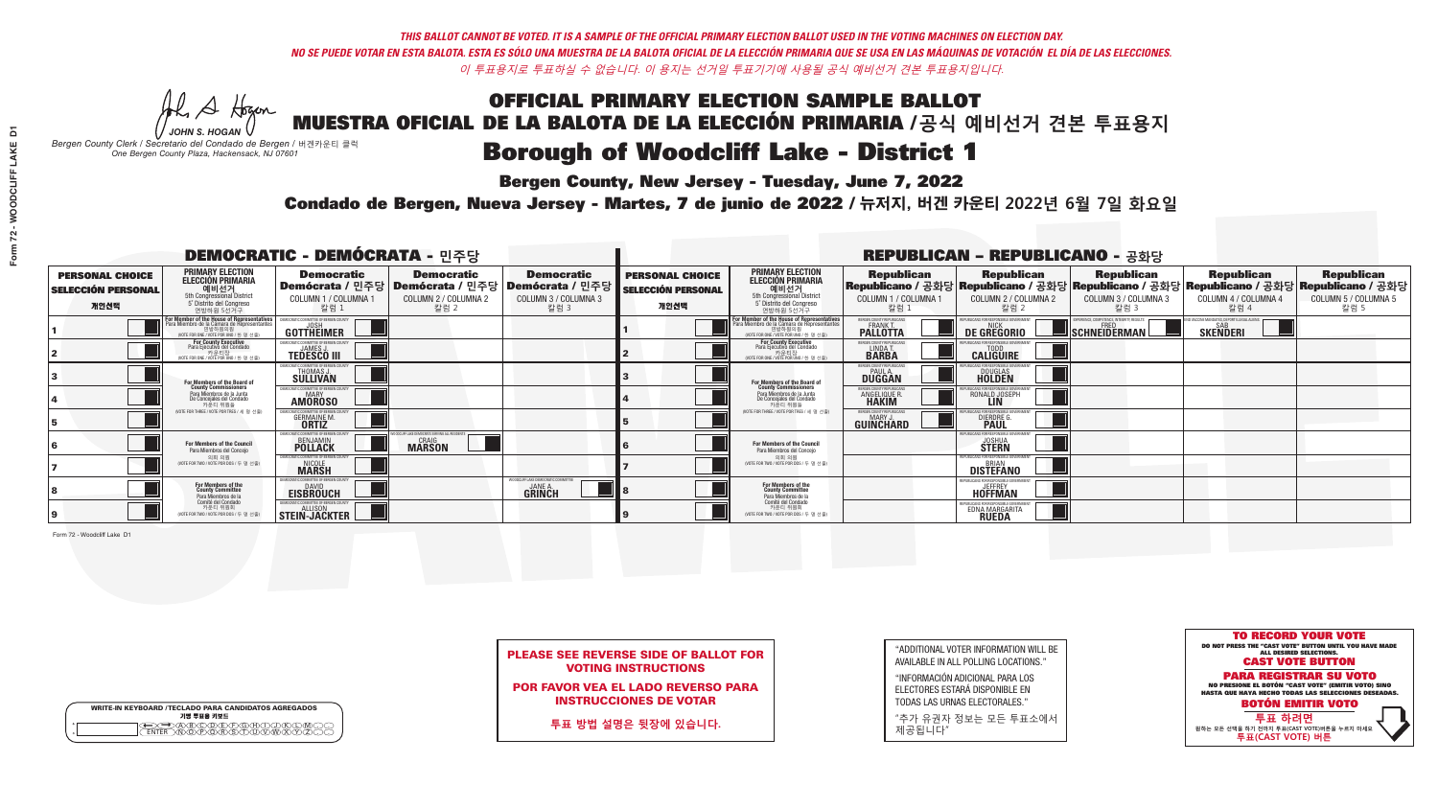**Bergen County, New Jersey - Tuesday, June 7, 2022** 

A Hogen *JOHN S. HOGAN*

| <b>WRITE-IN KEYBOARD /TECLADO PARA CANDIDATOS AGREGADOS</b><br>기명 투표용 키보드 |  |
|---------------------------------------------------------------------------|--|
| E A BOO DE DO BODO KI<br>MA BA BA SA MWA XI                               |  |

*Bergen County Clerk / Secretario del Condado de Bergen /* 버겐카운티 클럭 *One Bergen County Plaza, Hackensack, NJ 07601*

Condado de Bergen, Nueva Jersey - Martes, 7 de junio de 2022 / 뉴저지, 버겐 카운티 2022년 6월 7일 화요일 *One Bergen County Plaza, Hackensack, NJ 07601*



PLEASE SEE REVERSE SIDE OF BALLOT FOR VOTING INSTRUCTIONS

POR FAVOR VEA EL LADO REVERSO PARA INSTRUCCIONES DE VOTAR

**투표 방법 설명은 뒷장에 있습니다.**

| "ADDITIONAL VOTER INFORMATION WILL BE |
|---------------------------------------|
| AVAILABLE IN ALL POLLING LOCATIONS."  |

"INFORMACIÓN ADICIONAL PARA LOS ELECTORES ESTARÁ DISPONIBLE EN TODAS LAS URNAS ELECTORALES."

"추가 유권자 정보는 모든 투표소에서 제공됩니다"

|                                                             |                                                                                                                                               | <b>DEMOCRATIC - DEMÓCRATA - 민주당</b>                                   |                                                                                       |                                                                      |                                                             |                                                                                                                                               |                                                                | <b>REPUBLICAN - REPUBLICANO - 공화당</b>                         |                                                           |                                                                                                                                                  |                                                   |
|-------------------------------------------------------------|-----------------------------------------------------------------------------------------------------------------------------------------------|-----------------------------------------------------------------------|---------------------------------------------------------------------------------------|----------------------------------------------------------------------|-------------------------------------------------------------|-----------------------------------------------------------------------------------------------------------------------------------------------|----------------------------------------------------------------|---------------------------------------------------------------|-----------------------------------------------------------|--------------------------------------------------------------------------------------------------------------------------------------------------|---------------------------------------------------|
| <b>PERSONAL CHOICE</b><br><b>SELECCIÓN PERSONAL</b><br>개인선택 | <b>PRIMARY ELECTION</b><br><b>ELECCIÓN PRIMARIA</b><br>예비선거<br><sup>5th</sup> Congressional District<br>5° Distrito del Congreso<br>연방하원 5선거구 | <b>Democratic</b><br>COLUMN 1 / COLUMNA 1<br>칼럼 1                     | <b>Democratic</b><br>│Demócrata / 민주당│Demócrata / 민주당<br>COLUMN 2 / COLUMNA 2<br>칼럼 2 | <b>Democratic</b><br>Demócrata / 민주당<br>COLUMN 3 / COLUMNA 3<br>칼럼 3 | <b>PERSONAL CHOICE</b><br><b>SELECCIÓN PERSONAL</b><br>개인선택 | <b>PRIMARY ELECTION</b><br><b>ELECCIÓN PRIMARIA</b><br>예비선거<br><sup>5th</sup> Congressional District<br>5° Distrito del Congreso<br>연방하원 5선거구 | <b>Republican</b><br>COLUMN 1 / COLUMNA 1<br>칼럼 :              | <b>Republican</b><br>COLUMN 2 / COLUMNA 2<br>칼럼 2             | <b>Republican</b><br>COLUMN 3 / COLUMNA 3<br>칼럼 3         | <b>Republican</b><br>│Republicano / 공화당│Republicano / 공화당│Republicano / 공화당│Republicano / 공화당│Republicano / 공화당│<br>COLUMN 4 / COLUMNA 4<br>칼럼 4 | <b>Republican</b><br>COLUMN 5 / COLUMNA 5<br>칼럼 5 |
|                                                             | For Member of the House of Representatives<br>Para Miembro de la Cámara de Representantes<br>연방하원의원<br>(VOTE FOR ONE / VOTE POR UNO / 한 명 선출) | DEMOCRATIC COMMITTEE OF BERGEN COUNTY<br>UOSH<br><b>GOTTHEIMER</b>    |                                                                                       |                                                                      |                                                             | For Member of the House of Representatives<br>Para Miembro de la Cámara de Representantes<br>연방하원의원<br>(VOTE FOR ONE / VOTE POR UNO / 한 명 선출  | ERGEN COUNTY REPUBLICANS<br><b>PALLOTTA</b>                    | DE GREGORIO                                                   | XPERIENCE, COMPETENCE, INTEGRITY, RESULTS<br>SCHNEIDERMAN | END VACCINE MANDATES, DEPORT ILLEGAL ALIENS.<br>SKEÑDERI                                                                                         |                                                   |
|                                                             | For County Executive<br>Para Ejecutivo del Condado<br>WOTE FOR ONE / VOTE POR UNO / 한 명 선출)                                                   | JEMOCRATIC COMMITTEE OF BERGEN COUNTY<br><b>TEDESCO III</b>           |                                                                                       |                                                                      |                                                             | <b>For County Executive</b><br>Para Ejecutivo del Condado<br>7) 카운티장<br>(VOTE FOR ONE / VOTE POR UNO / 한 명 선출)                                | BERGEN COUNTY REPUBLICAN:<br>LINDA T.                          | <b>CALIGUIRE</b>                                              |                                                           |                                                                                                                                                  |                                                   |
|                                                             | For Members of the Board of<br>County Commissioners                                                                                           | EMOCRATIC COMMITTEE OF BERGEN COUNT<br>THOMAS J.                      |                                                                                       |                                                                      |                                                             | For Members of the Board of<br>County Commissioners                                                                                           | BERGEN COUNTY REPUBLICAN<br><b>PAUL A.</b><br><b>DUGGAN</b>    | <b>DOUGLAS</b>                                                |                                                           |                                                                                                                                                  |                                                   |
|                                                             | Para Miembros de la Junta<br>De Concejales del Condado<br>카운티 위원들                                                                             | MOCRATIC COMMITTEE OF BERGEN COUNTY<br><b>MARY</b><br><b>AMOROSO</b>  |                                                                                       |                                                                      |                                                             | Para Miembros de la Junta<br>De Concejales del Condado<br>카운티 위원들                                                                             | ERGEN COUNTY REPUBLICAN:<br><b>ANGELIQUE R</b><br><b>HAKIM</b> | RONALD JOSEPH<br><b>LIN</b>                                   |                                                           |                                                                                                                                                  |                                                   |
|                                                             | NOTE FOR THREE / VOTE POR TRES / 세 명 선출)                                                                                                      | IOCRATIC COMMITTEE OF BERGEN CO<br><b>GERMAINE M.</b><br><b>ORTIZ</b> |                                                                                       |                                                                      |                                                             | NOTE FOR THREE / VOTE POR TRES / 세 명 선출!                                                                                                      | BERGEN COUNTY REPUBLICANS<br><b>MARY J</b><br>GUINCHARD        | BLICANS FOR RESPONSIBLE GI<br><b>DIERDRE</b>                  |                                                           |                                                                                                                                                  |                                                   |
|                                                             | For Members of the Council<br>Para Miembros del Concejo                                                                                       | EMOCRATIC COMMITTEE OF BERGEN CO<br><b>BENJAMIN</b><br><b>POLLACK</b> | FF LAKE DEMOCRATS SERVING ALL RESIDENTS<br><b>MARSON</b>                              |                                                                      |                                                             | For Members of the Council<br>Para Miembros del Concejo                                                                                       |                                                                | FPUBLICANS FOR RESPONSIBLE G<br><b>JOSHUA</b><br><b>STERN</b> |                                                           |                                                                                                                                                  |                                                   |
|                                                             | 의회 의원<br>(VOTE FOR TWO / VOTE POR DOS / 두 명 선출)                                                                                               | <b>EMOCRATIC COMMITTEE OF BERGEN COUNT</b><br>NICOLE<br><b>MARSH</b>  |                                                                                       |                                                                      |                                                             | 의회 의원<br>(VOTE FOR TWO / VOTE POR DOS / 두 명 선출)                                                                                               |                                                                | REPUBLICANS FOR RESPONSIBLE GOVERNMENT<br>DISTËFANO           |                                                           |                                                                                                                                                  |                                                   |
|                                                             | For Members of the<br>County Committee<br>Para Miembros de la<br>Comité del Condado                                                           | MOCRATIC COMMITTEE OF BERGEN C<br><b>DAVID</b><br><b>EISBRÖUCH</b>    |                                                                                       | WOODCLIFF LAKE DEMOCRATIC COMMIT<br>JANE A.<br><b>GRINCH</b>         |                                                             | For Members of the<br>County Committee<br>Para Miembros de la<br>Comité del Condado                                                           |                                                                | REPUBLICANS FOR RESPONSIBLE G<br><b>HOFFMAN</b>               |                                                           |                                                                                                                                                  |                                                   |
|                                                             | 카운티 위원회<br>(VOTE FOR TWO / VOTE POR DOS / 두 명 선출)                                                                                             | EMOCRATIC COMMITTEE OF BERGEN COUNT<br>STEIN-JACKTER                  |                                                                                       |                                                                      |                                                             | 카운티 위원회<br>VOTE FOR TWO / VOTE POR DOS / 두 명 선출!                                                                                              |                                                                | EDNA MARGARITA                                                |                                                           |                                                                                                                                                  |                                                   |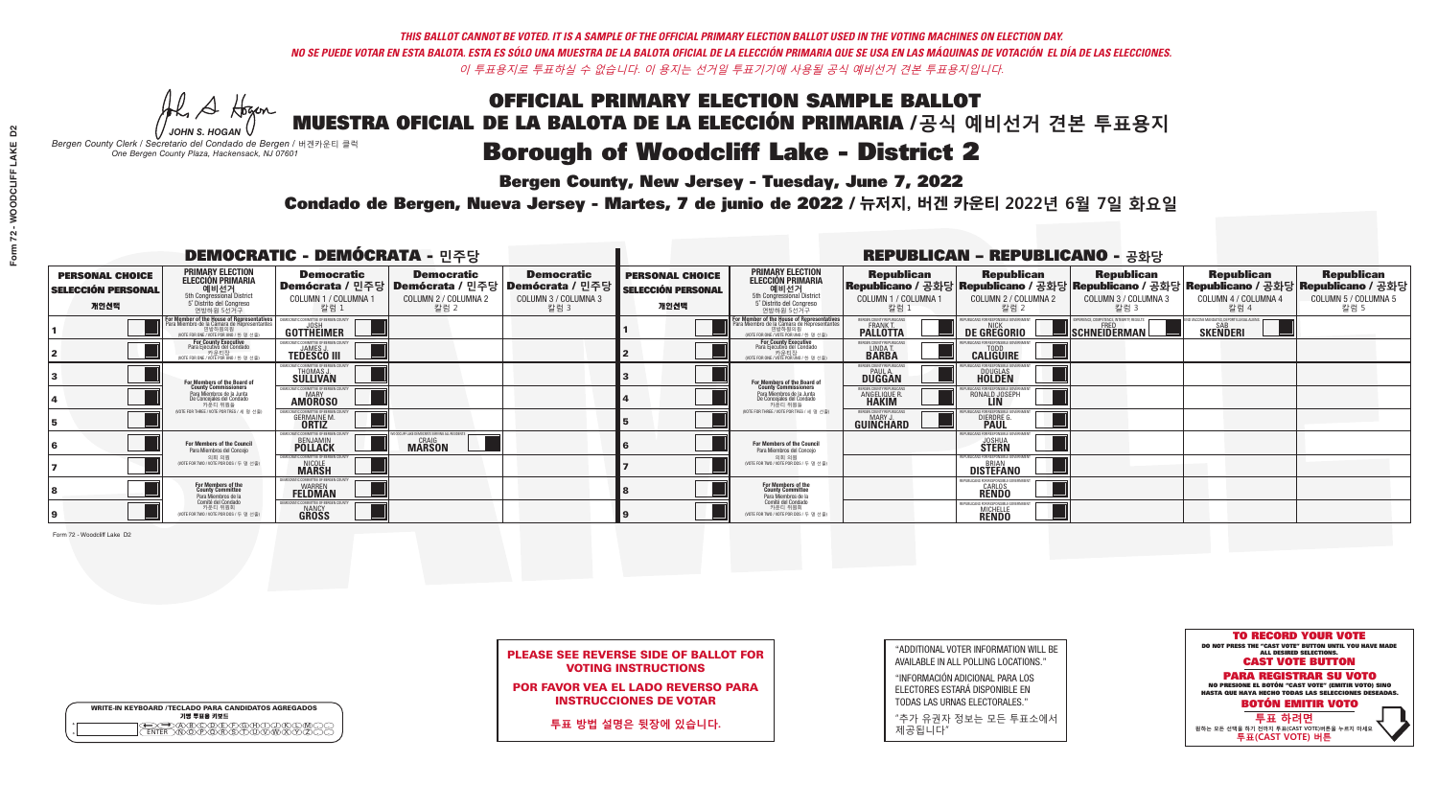**Bergen County, New Jersey - Tuesday, June 7, 2022** 

A Hogen *JOHN S. HOGAN*

| <b>WRITE-IN KEYBOARD /TECLADO PARA CANDIDATOS AGREGADOS</b><br>기명 투표용 키보드 |  |
|---------------------------------------------------------------------------|--|
| DODERFXGXA<br>৲ক∩ক∧ই৲ক                                                    |  |

*Bergen County Clerk / Secretario del Condado de Bergen /* 버겐카운티 클럭 *One Bergen County Plaza, Hackensack, NJ 07601*



PLEASE SEE REVERSE SIDE OF BALLOT FOR VOTING INSTRUCTIONS

POR FAVOR VEA EL LADO REVERSO PARA INSTRUCCIONES DE VOTAR

**투표 방법 설명은 뒷장에 있습니다.**

"ADDITIONAL VOTER INFORMATION WILL BE AVAILABLE IN ALL POLLING LOCATIONS."

"INFORMACIÓN ADICIONAL PARA LOS ELECTORES ESTARÁ DISPONIBLE EN TODAS LAS URNAS ELECTORALES."

"추가 유권자 정보는 모든 투표소에서 제공됩니다"

Condado de Bergen, Nueva Jersey - Martes, 7 de junio de 2022 / 뉴저지, 버겐 카운티 2022년 6월 7일 화요일 *One Bergen County Plaza, Hackensack, NJ 07601*

| <b>DEMOCRATIC - DEMÓCRATA - 민주당</b>                         |                                                                                                                                               |                                                                                 |                                                                                       |                                                                      |                                                             |                                                                                                                                               |                                                                      | <b>REPUBLICAN - REPUBLICANO - 공화당</b>                                                                                                           |                                                           |                                                                |                                                   |
|-------------------------------------------------------------|-----------------------------------------------------------------------------------------------------------------------------------------------|---------------------------------------------------------------------------------|---------------------------------------------------------------------------------------|----------------------------------------------------------------------|-------------------------------------------------------------|-----------------------------------------------------------------------------------------------------------------------------------------------|----------------------------------------------------------------------|-------------------------------------------------------------------------------------------------------------------------------------------------|-----------------------------------------------------------|----------------------------------------------------------------|---------------------------------------------------|
| <b>PERSONAL CHOICE</b><br><b>SELECCIÓN PERSONAL</b><br>개인선택 | <b>PRIMARY ELECTION</b><br>ELECCIÓN PRIMARIA<br>예비선거<br>5th Congressional District<br>5 Distrito del Congreso<br>연방하원 5선거구                    | <b>Democratic</b><br>COLUMN 1 / COLUMNA 1<br>칼럼 1                               | <b>Democratic</b><br>│Demócrata / 민주당│Demócrata / 민주당<br>COLUMN 2 / COLUMNA 2<br>칼럼 2 | <b>Democratic</b><br>Demócrata / 민주당<br>COLUMN 3 / COLUMNA 3<br>칼럼 3 | <b>PERSONAL CHOICE</b><br><b>SELECCIÓN PERSONAL</b><br>개인선택 | <b>PRIMARY ELECTION</b><br><b>ELECCIÓN PRIMARIA</b><br>예비선거<br>5th Congressional District<br>5° Distrito del Congreso<br>연방하원 5선거구            | <b>Republican</b><br>COLUMN 1 / COLUMNA 1<br>칼럼 :                    | <b>Republican</b><br>Republicano / 공화당 Republicano / 공화당 Republicano / 공화당 Republicano / 공화당 Republicano / 공화당<br>COLUMN 2 / COLUMNA 2<br>-칼럼 2 | <b>Republican</b><br>COLUMN 3 / COLUMNA 3<br>칼럼 3         | <b>Republican</b><br>COLUMN 4 / COLUMNA 4<br>칼럼 4              | <b>Republican</b><br>COLUMN 5 / COLUMNA 5<br>칼럼 5 |
|                                                             | For Member of the House of Representatives<br>Para Miembro de la Cámara de Representantes<br>연방하원의원<br>(VOTE FOR ONE / VOTE POR UNO / 한 명 선출) | DEMOCRATIC COMMITTEE OF BERGEN COUNTY<br>GOTTHEIMER                             |                                                                                       |                                                                      |                                                             | For Member of the House of Representatives<br>Para Miembro de la Cámara de Representantes<br>연방하원의원<br>(VOTE FOR ONE / VOTE POR UNO / 한 명 선출) | RGEN COUNTY REPUBLICANS<br><b>PALLOTTA</b>                           | DE GREGORIO                                                                                                                                     | XPERIENCE, COMPETENCE, INTEGRITY, RESULTS<br>SCHNEIDERMAN | ID VACCINE MANDATES, DEPORT ILLEGAL ALIENS.<br><b>SKENDERI</b> |                                                   |
|                                                             | For County Executive<br>Para Ejecutivo del Condado<br>가운티장<br>(VOTE FOR ONE / VOTE POR UNO / 한 명 선출)                                          | EMOCRATIC COMMITTEE OF BERGEN COUNTY<br><b>TEDESCO III</b>                      |                                                                                       |                                                                      |                                                             | <b>For County Executive</b><br>Para Ejecutivo del Condado<br>. 카운티장<br>(VOTE FOR ONE / VOTE POR UNO / 한 명 선출)                                 | BERGEN COUNTY REPUBLICAN<br>LINDA T.                                 | <b>CALIGUIRE</b>                                                                                                                                |                                                           |                                                                |                                                   |
|                                                             | For Members of the Board of<br>County Commissioners                                                                                           | MOCRATIC COMMITTEE OF BERGEN COUNTY<br>THOMAS J.                                |                                                                                       |                                                                      |                                                             | For Members of the Board of<br>County Commissioners                                                                                           | ERGEN COUNTY REPUBLICAN<br><b>PAUL A.</b><br><b>DUGGAN</b>           | DOUGLAS<br>HOLDEN                                                                                                                               |                                                           |                                                                |                                                   |
|                                                             | Para Miembros de la Junta<br>De Concejales del Condado<br>카우티 위원들                                                                             | MOCRATIC COMMITTEE OF BERGEN COUNTY<br><b>MARY</b><br><b>AMOROSO</b>            |                                                                                       |                                                                      |                                                             | Para Miembros de la Junta<br>De Concejales del Condado<br>카운티 위원들                                                                             | <b>RGEN COUNTY REPUBLICAN:</b><br><b>ANGELIQUE R</b><br><b>HAKIM</b> | RONALD JOSEPH                                                                                                                                   |                                                           |                                                                |                                                   |
|                                                             | (VOTE FOR THREE / VOTE POR TRES / 세 명 선출)                                                                                                     | <i>A</i> OCRATIC COMMITTEE OF BERGEN COUN<br><b>GERMAINE M.</b><br><b>ORTIZ</b> |                                                                                       |                                                                      |                                                             | NOTE FOR THREE / VOTE POR TRES / 세 명 선출                                                                                                       | BERGEN COUNTY REPUBLICANS<br>MARY .I<br>GUINCHARD                    | <b>FOR RESPONSIBLE GO</b><br><b>DIERDRE</b>                                                                                                     |                                                           |                                                                |                                                   |
|                                                             | For Members of the Council<br>Para Miembros del Conceio                                                                                       | EMOCRATIC COMMITTEE OF BERGEN<br><b>BENJAMIN</b><br><b>POLLACK</b>              | FLAKE DEMOCRATS SERVING ALL RESIDENTS<br><b>MARSON</b>                                |                                                                      |                                                             | For Members of the Council<br>Para Miembros del Concejo                                                                                       |                                                                      | PHRI ICANS ENR RESPONSIRI E<br><b>JOSHUA</b><br><b>STERN</b>                                                                                    |                                                           |                                                                |                                                   |
|                                                             | 의회 의원<br>(VOTE FOR TWO / VOTE POR DOS / 두 명 선출)                                                                                               | <b>EMOCRATIC COMMITTEE OF BERGEN COUNT</b><br><b>MARSH</b>                      |                                                                                       |                                                                      |                                                             | 의회 의원<br>(VOTE FOR TWO / VOTE POR DOS / 두 명 선출)                                                                                               |                                                                      | REPUBLICANS FOR RESPONSIBLE G<br><b>DISTEFANO</b>                                                                                               |                                                           |                                                                |                                                   |
|                                                             | For Members of the<br>County Committee<br>Para Miembros de la<br>Comité del Condado                                                           | MOCRATIC COMMITTEE OF BERGEN C<br><b>WARREN</b><br><b>FELDMAN</b>               |                                                                                       |                                                                      |                                                             | For Members of the<br>County Committee<br>Para Miembros de la<br>Comité del Condado                                                           |                                                                      | FPUBLICANS FOR RESPONSIBLE 6<br><b>CARLOS</b><br><b>RENDO</b>                                                                                   |                                                           |                                                                |                                                   |
|                                                             | 카운티 위원회<br>(VOTE FOR TWO / VOTE POR DOS / 두 명 선출)                                                                                             | EMOCRATIC COMMITTEE OF BERGEN COUNT<br>NANCY<br>GROSS                           |                                                                                       |                                                                      |                                                             | 카운티 위원회<br>WOTE FOR TWO / VOTE POR DOS / 두 명 선출)                                                                                              |                                                                      | <b>MICHELLE</b>                                                                                                                                 |                                                           |                                                                |                                                   |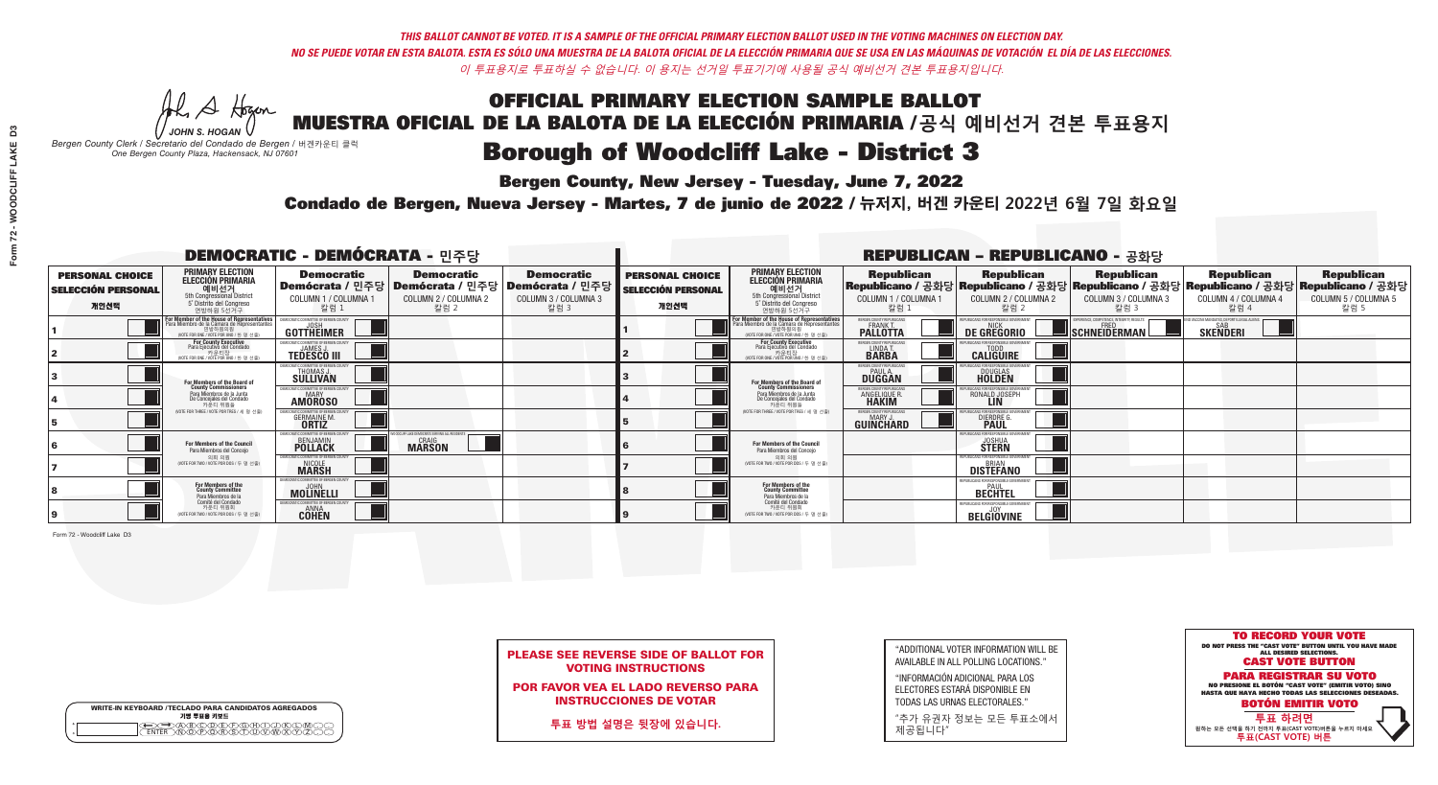**Bergen County, New Jersey - Tuesday, June 7, 2022** 

A Hogen *JOHN S. HOGAN*

| <b>WRITE-IN KEYBOARD /TECLADO PARA CANDIDATOS AGREGADOS</b><br>기명 투표용 키보드 |  |
|---------------------------------------------------------------------------|--|
| )(B)(C)(D)(E)(F)(G)(H)(<br><u>አቅአሚያ ፈ</u> ን                               |  |

*Bergen County Clerk / Secretario del Condado de Bergen /* 버겐카운티 클럭 *One Bergen County Plaza, Hackensack, NJ 07601*



PLEASE SEE REVERSE SIDE OF BALLOT FOR VOTING INSTRUCTIONS

POR FAVOR VEA EL LADO REVERSO PARA INSTRUCCIONES DE VOTAR

**투표 방법 설명은 뒷장에 있습니다.**

"ADDITIONAL VOTER INFORMATION WILL BE AVAILABLE IN ALL POLLING LOCATIONS."

"INFORMACIÓN ADICIONAL PARA LOS ELECTORES ESTARÁ DISPONIBLE EN TODAS LAS URNAS ELECTORALES."

"추가 유권자 정보는 모든 투표소에서 제공됩니다"

Condado de Bergen, Nueva Jersey - Martes, 7 de junio de 2022 / 뉴저지, 버겐 카운티 2022년 6월 7일 화요일 *One Bergen County Plaza, Hackensack, NJ 07601*

| <b>DEMOCRATIC - DEMÓCRATA - 민주당</b>                         |                                                                                                                                              |                                                                                       |                                                            |                                                                             |                                                             |                                                                                                                                    |                                                            | <b>REPUBLICAN - REPUBLICANO - 공화당</b>                   |                                                          |                                                                                                                                                |                                                   |
|-------------------------------------------------------------|----------------------------------------------------------------------------------------------------------------------------------------------|---------------------------------------------------------------------------------------|------------------------------------------------------------|-----------------------------------------------------------------------------|-------------------------------------------------------------|------------------------------------------------------------------------------------------------------------------------------------|------------------------------------------------------------|---------------------------------------------------------|----------------------------------------------------------|------------------------------------------------------------------------------------------------------------------------------------------------|---------------------------------------------------|
| <b>PERSONAL CHOICE</b><br><b>SELECCIÓN PERSONAL</b><br>개인선택 | <b>PRIMARY ELECTION</b><br><b>ELECCIÓN PRIMARIA</b><br>예비선거<br>5th Congressional District<br>5° Distrito del Congreso<br>연방하원 5선거구           | <b>Democratic</b><br>│Demócrata / 민주당│Demócrata / 민주당<br>COLUMN 1 / COLUMNA 1<br>칼럼 1 | <b>Democratic</b><br>COLUMN 2 / COLUMNA 2<br>칼럼 2          | <b>Democratic</b><br><b>Demócrata / 민주당</b><br>COLUMN 3 / COLUMNA 3<br>칼럼 3 | <b>PERSONAL CHOICE</b><br><b>SELECCIÓN PERSONAL</b><br>개인선택 | <b>PRIMARY ELECTION</b><br>ELECCIÓN PRIMARIA<br>예비선거<br>5th Congressional District<br>5° Distrito del Congreso<br>연방하원 5선거구        | <b>Republican</b><br>COLUMN 1 / COLUMNA 1<br>칼럼.           | <b>Republican</b><br>COLUMN 2 / COLUMNA 2<br>·칼럼 2      | <b>Republican</b><br>COLUMN 3 / COLUMNA 3<br>칼럼 3        | <b>Republican</b><br>Republicano / 공화당 Republicano / 공화당 Republicano / 공화당 Republicano / 공화당 Republicano / 공화당<br>COLUMN 4 / COLUMNA 4<br>칼럼 4 | <b>Republican</b><br>COLUMN 5 / COLUMNA 5<br>칼럼 5 |
|                                                             | For Member of the House of Representatives<br>Para Miembro de la Cámara de Representantes<br>연방하원의원<br>(VOTE FOR ONE / VOTE POR UNO / 한 명 선출 | DEMOCRATIC COMMITTEE OF BERGEN COUNTY<br>JOSH<br><b>GOTTHEIMER</b>                    |                                                            |                                                                             |                                                             | For Member of the House of Representatives<br>Para Miembro de la Cámara de Representantes<br>(VOTE FOR ONE / VOTE POR UNO / 한 명 선출 | ERGEN COUNTY REPUBLICAN<br><b>PALLOTTA</b>                 | DE GREGORIO                                             | PERIENCE, COMPETENCE, INTEGRITY, RESULTS<br>SCHNEIDERMAN | ID VACCINE MANDATES, DEPORT ILLEGAL ALIENS. [<br><b>SKENDERI</b>                                                                               |                                                   |
|                                                             | For County Executive<br>Para Ejecutivo del Condado<br>가운티장 - 카운티장<br>(VOTE FOR ONE / VOTE POR UNO / 한 명 선출)                                  | JEMOCRATIC COMMITTEE OF BERGEN COUNT'<br><b>TEDESCO III</b>                           |                                                            |                                                                             |                                                             | For County Executive<br>Para Ejecutivo del Condado<br>카운티장<br>(WOTE FOR ONE / VOTE POR UNO / 한 명 선출)                               | BERGEN COUNTY REPUBLICAN<br>LINDA T.                       | <b>CALIGUIRE</b>                                        |                                                          |                                                                                                                                                |                                                   |
|                                                             | For Members of the Board of<br>County Commissioners                                                                                          | EMOCRATIC COMMITTEE OF BERGEN COUNTY<br>THOMAS J.                                     |                                                            |                                                                             |                                                             | For Members of the Board of<br>County Commissioners                                                                                | ERGEN COUNTY REPUBLICAN<br><b>PAUL A.</b><br><b>DUGGAN</b> | <b>DOUGLAS</b>                                          |                                                          |                                                                                                                                                |                                                   |
|                                                             | Para Miembros de la Junta<br>De Concejales del Condado<br>카운티 위원들                                                                            | <b>10CRATIC COMMITTEE OF BERGEN COUNTY</b><br>MARY<br><b>AMOROSO</b>                  |                                                            |                                                                             |                                                             | Para Miembros de la Junta<br>De Concejales del Condado<br>카운티 위원들                                                                  | ERGEN COUNTY REPUBLICAN<br><b>ANGELIQUE R</b>              | RONALD JOSEPH                                           |                                                          |                                                                                                                                                |                                                   |
|                                                             | NOTE FOR THREE / VOTE POR TRES / 세 명 선출)                                                                                                     | <b>GERMAINE M.</b>                                                                    |                                                            |                                                                             |                                                             | NOTE FOR THREE / VOTE POR TRES / 세 명 선출                                                                                            | ERGEN COUNTY REPUBLICANS<br>MARY J<br>GUINCHARD            | <b>DIERDRE G</b><br><b>PAUL</b>                         |                                                          |                                                                                                                                                |                                                   |
|                                                             | For Members of the Council<br>Para Miembros del Conceio                                                                                      | MOCRATIC COMMITTEE OF BERGEN COUNT<br><b>BENJAMIN</b><br><b>POLLACK</b>               | LIFE LAKE DEMOCRATS SERVING ALL RESIDENTS<br><b>MARSON</b> |                                                                             |                                                             | For Members of the Council<br>Para Miembros del Conceio                                                                            |                                                            | FNR RESPNNSIRI E G<br><b>JOSHUA</b><br><b>STERN</b>     |                                                          |                                                                                                                                                |                                                   |
|                                                             | 의회 의원<br>(VOTE FOR TWO / VOTE POR DOS / 두 명 선출)                                                                                              | MOCRATIC COMMITTEE OF BERGEN COUNTY<br>NICOLE<br><b>MARSH</b>                         |                                                            |                                                                             |                                                             | 의회 의원<br>(VOTE FOR TWO / VOTE POR DOS / 두 명 선출)                                                                                    |                                                            | PUBLICANS FOR RESPONSIBLE GOVERNMEN<br><b>DISTEFANO</b> |                                                          |                                                                                                                                                |                                                   |
|                                                             | For Members of the<br>County Committee<br>Para Miembros de la                                                                                | MOCRATIC COMMITTEE OF RERGEN<br>MOLINELLI                                             |                                                            |                                                                             |                                                             | For Members of the<br>County Committee<br>Para Miembros de la<br>Comité del Condado                                                |                                                            | PURLICANS FOR RESPONSIBLE G<br><b>BECHTEL</b>           |                                                          |                                                                                                                                                |                                                   |
|                                                             | Comité del Condado<br>카운티 위원회<br>(VOTE FOR TWO / VOTE POR DOS / 두 명 선출)                                                                      | EMOCRATIC COMMITTEE OF RERGEN COUNT<br><b>CÔHEN</b>                                   |                                                            |                                                                             |                                                             | 카운티 위원회<br>(VOTE FOR TWO / VOTE POR DOS / 두 명 선출)                                                                                  |                                                            | PUBLICANS FOR RESPONSIBLE GOVERNMENT<br>BELGIOVINE      |                                                          |                                                                                                                                                |                                                   |